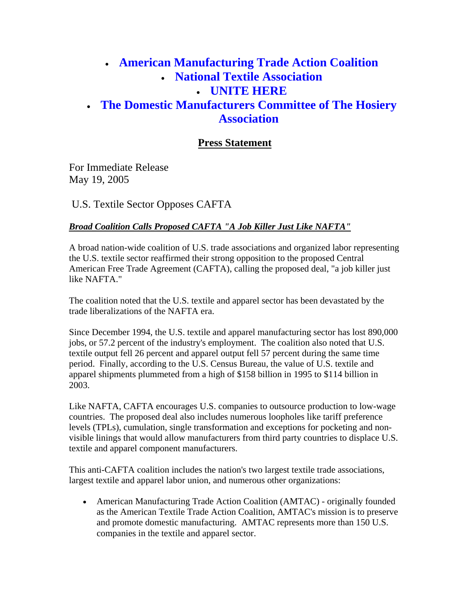## • **American Manufacturing Trade Action Coalition** • **National Textile Association** • **UNITE HERE** • **The Domestic Manufacturers Committee of The Hosiery Association**

## **Press Statement**

For Immediate Release May 19, 2005

U.S. Textile Sector Opposes CAFTA

## *Broad Coalition Calls Proposed CAFTA "A Job Killer Just Like NAFTA"*

A broad nation-wide coalition of U.S. trade associations and organized labor representing the U.S. textile sector reaffirmed their strong opposition to the proposed Central American Free Trade Agreement (CAFTA), calling the proposed deal, "a job killer just like NAFTA."

The coalition noted that the U.S. textile and apparel sector has been devastated by the trade liberalizations of the NAFTA era.

Since December 1994, the U.S. textile and apparel manufacturing sector has lost 890,000 jobs, or 57.2 percent of the industry's employment. The coalition also noted that U.S. textile output fell 26 percent and apparel output fell 57 percent during the same time period. Finally, according to the U.S. Census Bureau, the value of U.S. textile and apparel shipments plummeted from a high of \$158 billion in 1995 to \$114 billion in 2003.

Like NAFTA, CAFTA encourages U.S. companies to outsource production to low-wage countries. The proposed deal also includes numerous loopholes like tariff preference levels (TPLs), cumulation, single transformation and exceptions for pocketing and nonvisible linings that would allow manufacturers from third party countries to displace U.S. textile and apparel component manufacturers.

This anti-CAFTA coalition includes the nation's two largest textile trade associations, largest textile and apparel labor union, and numerous other organizations:

• American Manufacturing Trade Action Coalition (AMTAC) - originally founded as the American Textile Trade Action Coalition, AMTAC's mission is to preserve and promote domestic manufacturing. AMTAC represents more than 150 U.S. companies in the textile and apparel sector.